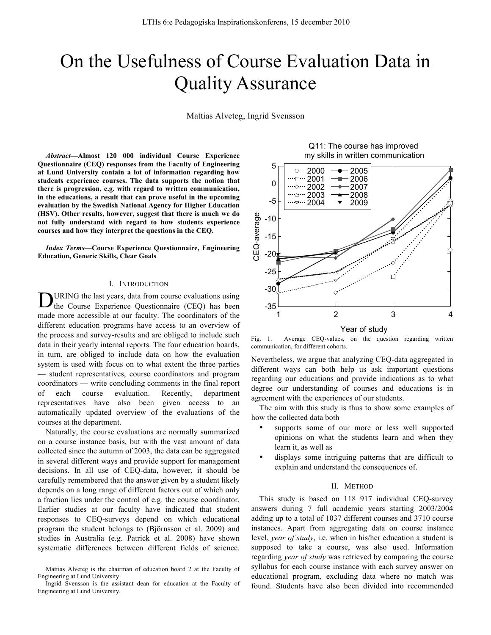# On the Usefulness of Course Evaluation Data in Quality Assurance

Mattias Alveteg, Ingrid Svensson

*Abstract***—Almost 120 000 individual Course Experience Questionnaire (CEQ) responses from the Faculty of Engineering at Lund University contain a lot of information regarding how students experience courses. The data supports the notion that there is progression, e.g. with regard to written communication, in the educations, a result that can prove useful in the upcoming evaluation by the Swedish National Agency for Higher Education (HSV). Other results, however, suggest that there is much we do not fully understand with regard to how students experience courses and how they interpret the questions in the CEQ.** 

*Index Terms***—Course Experience Questionnaire, Engineering Education, Generic Skills, Clear Goals**

## I. INTRODUCTION

URING the last years, data from course evaluations using **D**URING the last years, data from course evaluations using the Course Experience Questionnaire (CEQ) has been made more accessible at our faculty. The coordinators of the different education programs have access to an overview of the process and survey-results and are obliged to include such data in their yearly internal reports. The four education boards, in turn, are obliged to include data on how the evaluation system is used with focus on to what extent the three parties — student representatives, course coordinators and program coordinators — write concluding comments in the final report of each course evaluation. Recently, department representatives have also been given access to an automatically updated overview of the evaluations of the courses at the department.

Naturally, the course evaluations are normally summarized on a course instance basis, but with the vast amount of data collected since the autumn of 2003, the data can be aggregated in several different ways and provide support for management decisions. In all use of CEQ-data, however, it should be carefully remembered that the answer given by a student likely depends on a long range of different factors out of which only a fraction lies under the control of e.g. the course coordinator. Earlier studies at our faculty have indicated that student responses to CEQ-surveys depend on which educational program the student belongs to (Björnsson et al. 2009) and studies in Australia (e.g. Patrick et al. 2008) have shown systematic differences between different fields of science.

5 2000 2005  $\circ$ ·□··· 2001  $-2006$ 0 2007 …◇… 2002  $\sim$  2003 2008  $-5$ **…**⊽… 2004 2009 CEQ-average CEQ-average  $-10$  $-15$ -20  $-25$ П  $-30$  $-35$ 1 2 3 4 Year of study

Q11: The course has improved my skills in written communication

Fig. 1. Average CEQ-values, on the question regarding written communication, for different cohorts.

Nevertheless, we argue that analyzing CEQ-data aggregated in different ways can both help us ask important questions regarding our educations and provide indications as to what degree our understanding of courses and educations is in agreement with the experiences of our students.

The aim with this study is thus to show some examples of how the collected data both

- supports some of our more or less well supported opinions on what the students learn and when they learn it, as well as
- displays some intriguing patterns that are difficult to explain and understand the consequences of.

#### II. METHOD

This study is based on 118 917 individual CEQ-survey answers during 7 full academic years starting 2003/2004 adding up to a total of 1037 different courses and 3710 course instances. Apart from aggregating data on course instance level, *year of study*, i.e. when in his/her education a student is supposed to take a course, was also used. Information regarding *year of study* was retrieved by comparing the course syllabus for each course instance with each survey answer on educational program, excluding data where no match was found. Students have also been divided into recommended

Mattias Alveteg is the chairman of education board 2 at the Faculty of Engineering at Lund University.

Ingrid Svensson is the assistant dean for education at the Faculty of Engineering at Lund University.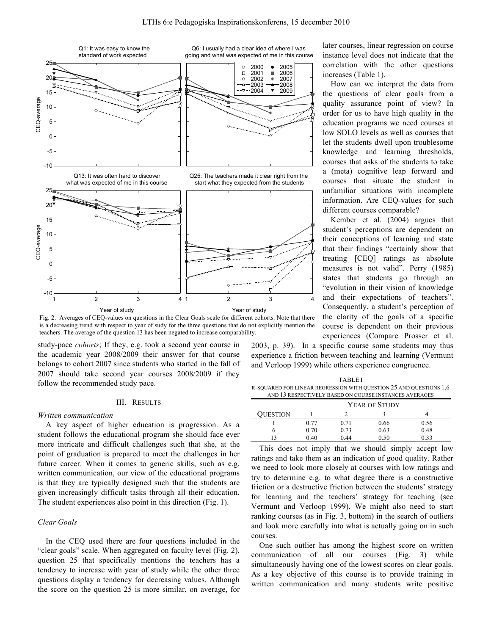

Fig. 2. Averages of CEQ-values on questions in the Clear Goals scale for different cohorts. Note that there is a decreasing trend with respect to year of sudy for the three questions that do not explicitly mention the teachers. The average of the question 13 has been negated to increase comparability.

study-pace *cohorts*; If they, e.g. took a second year course in the academic year 2008/2009 their answer for that course belongs to cohort 2007 since students who started in the fall of 2007 should take second year courses 2008/2009 if they follow the recommended study pace.

### III. RESULTS

#### *Written communication*

A key aspect of higher education is progression. As a student follows the educational program she should face ever more intricate and difficult challenges such that she, at the point of graduation is prepared to meet the challenges in her future career. When it comes to generic skills, such as e.g. written communication, our view of the educational programs is that they are typically designed such that the students are given increasingly difficult tasks through all their education. The student experiences also point in this direction (Fig. 1).

# *Clear Goals*

In the CEQ used there are four questions included in the "clear goals" scale. When aggregated on faculty level (Fig. 2), question 25 that specifically mentions the teachers has a tendency to increase with year of study while the other three questions display a tendency for decreasing values. Although the score on the question 25 is more similar, on average, for

later courses, linear regression on course instance level does not indicate that the correlation with the other questions increases (Table 1).

How can we interpret the data from the questions of clear goals from a quality assurance point of view? In order for us to have high quality in the education programs we need courses at low SOLO levels as well as courses that let the students dwell upon troublesome knowledge and learning thresholds, courses that asks of the students to take a (meta) cognitive leap forward and courses that situate the student in unfamiliar situations with incomplete information. Are CEQ-values for such different courses comparable?

Kember et al. (2004) argues that student's perceptions are dependent on their conceptions of learning and state that their findings "certainly show that treating [CEQ] ratings as absolute measures is not valid". Perry (1985) states that students go through an "evolution in their vision of knowledge and their expectations of teachers". Consequently, a student's perception of the clarity of the goals of a specific course is dependent on their previous experiences (Compare Prosser et al.

2003, p. 39). In a specific course some students may thus experience a friction between teaching and learning (Vermunt and Verloop 1999) while others experience congruence.

TABLE I R-SQUARED FOR LINEAR REGRESSION WITH QUESTION 25 AND QUESTIONS 1,6 AND 13 RESPECTIVELY BASED ON COURSE INSTANCES AVERAGES

|                 | YEAR OF STUDY |      |      |      |
|-----------------|---------------|------|------|------|
| <b>QUESTION</b> |               |      |      |      |
|                 | 0.77          | 0.71 | 0.66 | 0.56 |
|                 | 0.70          | 0.73 | 0.63 | 0.48 |
|                 | 0.40          | 0.44 | 0.50 | 0.33 |

This does not imply that we should simply accept low ratings and take them as an indication of good quality. Rather we need to look more closely at courses with low ratings and try to determine e.g. to what degree there is a constructive friction or a destructive friction between the students' strategy for learning and the teachers' strategy for teaching (see Vermunt and Verloop 1999). We might also need to start ranking courses (as in Fig. 3, bottom) in the search of outliers and look more carefully into what is actually going on in such courses.

One such outlier has among the highest score on written communication of all our courses (Fig. 3) while simultaneously having one of the lowest scores on clear goals. As a key objective of this course is to provide training in written communication and many students write positive